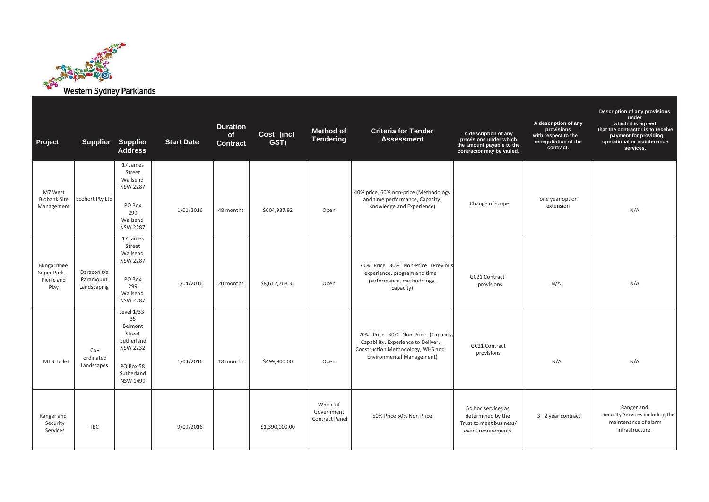

| Project                                           |                                         | Supplier Supplier<br><b>Address</b>                                                                                   | <b>Start Date</b> | <b>Duration</b><br>of<br><b>Contract</b> | Cost (incl<br>GST) | <b>Method of</b><br><b>Tendering</b>            | <b>Criteria for Tender</b><br><b>Assessment</b>                                                                                                   | A description of any<br>provisions under which<br>the amount payable to the<br>contractor may be varied. | A description of any<br>provisions<br>with respect to the<br>renegotiation of the<br>contract. | Description of any provisions<br>under<br>which it is agreed<br>that the contractor is to receive<br>payment for providing<br>operational or maintenance<br>services. |
|---------------------------------------------------|-----------------------------------------|-----------------------------------------------------------------------------------------------------------------------|-------------------|------------------------------------------|--------------------|-------------------------------------------------|---------------------------------------------------------------------------------------------------------------------------------------------------|----------------------------------------------------------------------------------------------------------|------------------------------------------------------------------------------------------------|-----------------------------------------------------------------------------------------------------------------------------------------------------------------------|
| M7 West<br><b>Biobank Site</b><br>Management      | <b>Ecohort Pty Ltd</b>                  | 17 James<br>Street<br>Wallsend<br><b>NSW 2287</b><br>PO Box<br>299<br>Wallsend<br><b>NSW 2287</b>                     | 1/01/2016         | 48 months                                | \$604,937.92       | Open                                            | 40% price, 60% non-price (Methodology<br>and time performance, Capacity,<br>Knowledge and Experience)                                             | Change of scope                                                                                          | one year option<br>extension                                                                   | N/A                                                                                                                                                                   |
| Bungarribee<br>Super Park -<br>Picnic and<br>Play | Daracon t/a<br>Paramount<br>Landscaping | 17 James<br>Street<br>Wallsend<br><b>NSW 2287</b><br>PO Box<br>299<br>Wallsend<br><b>NSW 2287</b>                     | 1/04/2016         | 20 months                                | \$8,612,768.32     | Open                                            | 70% Price 30% Non-Price (Previous<br>experience, program and time<br>performance, methodology,<br>capacity)                                       | GC21 Contract<br>provisions                                                                              | N/A                                                                                            | N/A                                                                                                                                                                   |
| <b>MTB Toilet</b>                                 | $Co-$<br>ordinated<br>Landscapes        | Level 1/33-<br>35<br>Belmont<br>Street<br>Sutherland<br><b>NSW 2232</b><br>PO Box 58<br>Sutherland<br><b>NSW 1499</b> | 1/04/2016         | 18 months                                | \$499,900.00       | Open                                            | 70% Price 30% Non-Price (Capacity,<br>Capability, Experience to Deliver,<br>Construction Methodology, WHS and<br><b>Environmental Management)</b> | GC21 Contract<br>provisions                                                                              | N/A                                                                                            | N/A                                                                                                                                                                   |
| Ranger and<br>Security<br>Services                | <b>TBC</b>                              |                                                                                                                       | 9/09/2016         |                                          | \$1,390,000.00     | Whole of<br>Government<br><b>Contract Panel</b> | 50% Price 50% Non Price                                                                                                                           | Ad hoc services as<br>determined by the<br>Trust to meet business/<br>event requirements.                | 3 +2 year contract                                                                             | Ranger and<br>Security Services including the<br>maintenance of alarm<br>infrastructure.                                                                              |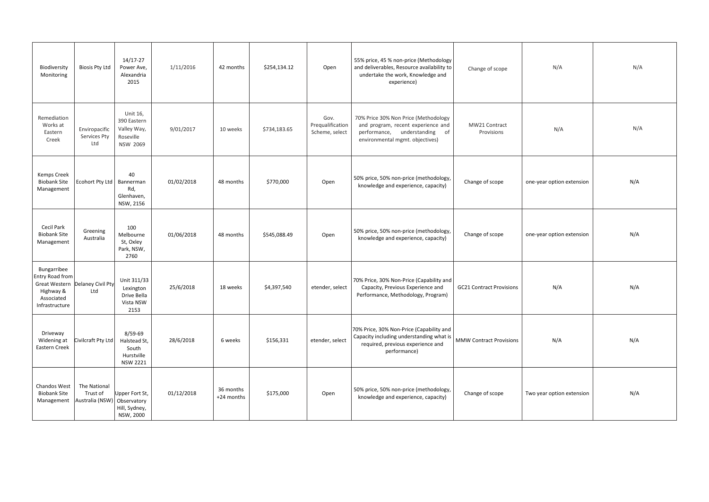| Biodiversity<br>Monitoring                                                         | <b>Biosis Pty Ltd</b>                                   | 14/17-27<br>Power Ave,<br>Alexandria<br>2015                           | 1/11/2016  | 42 months               | \$254,134.12 | Open                                       | 55% price, 45 % non-price (Methodology<br>and deliverables, Resource availability to<br>undertake the work, Knowledge and<br>experience)          | Change of scope                 | N/A                       | N/A |
|------------------------------------------------------------------------------------|---------------------------------------------------------|------------------------------------------------------------------------|------------|-------------------------|--------------|--------------------------------------------|---------------------------------------------------------------------------------------------------------------------------------------------------|---------------------------------|---------------------------|-----|
| Remediation<br>Works at<br>Eastern<br>Creek                                        | Enviropacific<br>Services Pty<br>Ltd                    | Unit 16,<br>390 Eastern<br>Valley Way,<br>Roseville<br><b>NSW 2069</b> | 9/01/2017  | 10 weeks                | \$734,183.65 | Gov.<br>Prequalification<br>Scheme, select | 70% Price 30% Non Price (Methodology<br>and program, recent experience and<br>performance, understanding<br>of<br>environmental mgmt. objectives) | MW21 Contract<br>Provisions     | N/A                       | N/A |
| Kemps Creek<br><b>Biobank Site</b><br>Management                                   | Ecohort Pty Ltd   Bannerman                             | 40<br>Rd,<br>Glenhaven,<br>NSW, 2156                                   | 01/02/2018 | 48 months               | \$770,000    | Open                                       | 50% price, 50% non-price (methodology,<br>knowledge and experience, capacity)                                                                     | Change of scope                 | one-year option extension | N/A |
| Cecil Park<br><b>Biobank Site</b><br>Management                                    | Greening<br>Australia                                   | 100<br>Melbourne<br>St, Oxley<br>Park, NSW,<br>2760                    | 01/06/2018 | 48 months               | \$545,088.49 | Open                                       | 50% price, 50% non-price (methodology,<br>knowledge and experience, capacity)                                                                     | Change of scope                 | one-year option extension | N/A |
| Bungarribee<br><b>Entry Road from</b><br>Highway &<br>Associated<br>Infrastructure | Great Western Delaney Civil Pty<br>Ltd                  | Unit 311/33<br>Lexington<br>Drive Bella<br>Vista NSW<br>2153           | 25/6/2018  | 18 weeks                | \$4,397,540  | etender, select                            | 70% Price, 30% Non-Price (Capability and<br>Capacity, Previous Experience and<br>Performance, Methodology, Program)                               | <b>GC21 Contract Provisions</b> | N/A                       | N/A |
| Driveway<br>Widening at<br>Eastern Creek                                           | Civilcraft Pty Ltd                                      | $8/59-69$<br>Halstead St,<br>South<br>Hurstville<br><b>NSW 2221</b>    | 28/6/2018  | 6 weeks                 | \$156,331    | etender, select                            | 70% Price, 30% Non-Price (Capability and<br>Capacity including understanding what is<br>required, previous experience and<br>performance)         | <b>MMW Contract Provisions</b>  | N/A                       | N/A |
| Chandos West<br><b>Biobank Site</b><br>Management                                  | The National<br>Trust of<br>Australia (NSW) Observatory | Upper Fort St,<br>Hill, Sydney,<br>NSW, 2000                           | 01/12/2018 | 36 months<br>+24 months | \$175,000    | Open                                       | 50% price, 50% non-price (methodology,<br>knowledge and experience, capacity)                                                                     | Change of scope                 | Two year option extension | N/A |